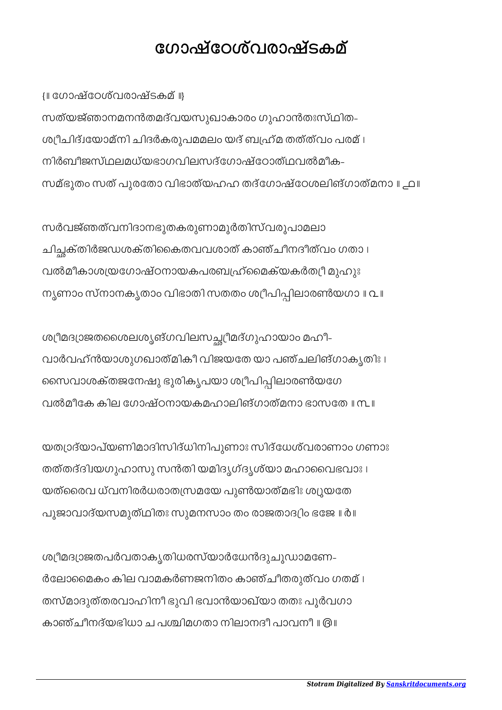## േഗാഷ്േഠശ്വരാഷ്ടകമ്

{॥ േഗാഷ്േഠശ്വരാഷ്ടകമ് ॥}

സത്യജ്ഞാനമനൻതമദ്വയസുഖാകാരം ഗുഹാൻതഃസ്ഥിത-ശീചിദ്േയാമ്നി ചിദർകരൂപമമലം യദ് ബഹ്മ തത്ത്വം പരമ് । നിർബീജസ്ഥലമധ്യഭാഗവിലസദ്ഗോഷ്ഠോത്ഥവൽമീക-സമ്ഭൂതം സത് പുരേതാ വിഭാത്യഹഹ തദ്േഗാഷ്േഠശലിങ്ഗാത്മനാ ॥ ൧॥

സർവജ്ഞത്വനിദാനഭൂതകരുണാമൂർതിസ്വരൂപാമലാ ചിക്തിർജഡശക്തിൈകതവവശാത് കാഞ്ചീനദീത്വം ഗതാ । വൽമീകാശയേഗാഷ്ഠനായകപരബഹ്ൈമക്യകർതീ മുഹുഃ നൃണാം സ്നാനകൃതാം വിഭാതി സതതം ശ്രീപിപ്പിലാരൺയഗാ ॥ ൨ ॥

ശ്യീമദ്യാജതശൈലശൃങ്ഗവിലസച്ഛ്യീമദ്ഗുഹായാം മഹീ-വാർവഹ്ൻയാശുഗഖാത്മികീ വിജയേത യാ പഞ്ചലിങ്ഗാകൃതിഃ । സൈവാശക്തജനേഷു ഭൂരികൃപയാ ശ്രീപിപ്പിലാരൺയഗേ വൽമീേക കില േഗാഷ്ഠനായകമഹാലിങ്ഗാത്മനാ ഭാസേത ॥ ൩॥

യതാദ്യാപ്യണിമാദിസിദ്ധിനിപുണാഃ സിദ്േധശ്വരാണാം ഗണാഃ തത്തദ്ദിയഗുഹാസു സൻതി യമിദൃഗ്ദൃശ്യാ മഹാൈവഭവാഃ । യത്ൈരവ ധ്വനിരർധരാതസമേയ പുൺയാത്മഭിഃ ശൂയേത പൂജാവാദ്യസമുത്ഥിതഃ സുമനസാം തം രാജതാദിം ഭേജ ॥ ൪॥

ശ്യീമദ്യാജതപർവതാകൃതിധരസ്യാർധേൻദുചൂഡാമണേ-ർേലാൈമകം കില വാമകർണജനിതം കാഞ്ചീതരുത്വം ഗതമ് । തസ്മാദുത്തരവാഹിനീ ഭുവി ഭവാൻയാഖ്യാ തതഃ പൂർവഗാ കാഞ്ചീനദ്യഭിധാ ച പശ്ചിമഗതാ നിലാനദീ പാവനീ ॥ രി ॥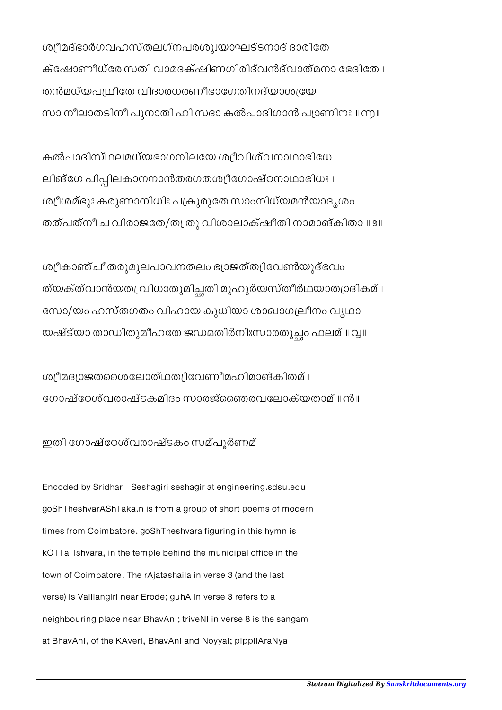ശ്യീമദ്ഭാർഗവഹസ്തലഗ്നപരശുദയാഘട്ടനാദ് ദാരിതേ ക്േഷാണീധ്േര സതി വാമദക്ഷിണഗിരിദ്വൻദ്വാത്മനാ േഭദിേത । തൻമധ്യപ്വഥിതേ വിദാരധരണീഭാഗേതിനദ്യാശ്വയേ സാ നീലാതടിനീ പുനാതി ഹി സദാ കൽപാദിഗാൻ പാണിനഃ ॥ ൬॥

കൽപാദിസ്ഥലമധ്യഭാഗനിലേയ ശീവിശ്വനാഥാഭിേധ ലിങ്ഗേ പിപ്പിലകാനനാൻതരഗതശ്യീഗോഷ്ഠനാഥാഭിധഃ । ശീശമ്ഭുഃ കരുണാനിധിഃ പകുരുേത സാംനിധ്യമൻയാദൃശം തത്പത്നീ ച വിരാജതേ/തസ്ത്രു വിശാലാക്ഷീതി നാമാങ്കിതാ ॥ ୭ ॥

ശീകാഞ്ചീതരുമൂലപാവനതലം ഭാജത്തിേവൺയുദ്ഭവം ത്യക്ത്വാൻയത പ്രിധാതുമിച്ചതി മുഹുർയസ്തീർഥയാത്യാദികമ് । േസാഽയം ഹസ്തഗതം വിഹായ കുധിയാ ശാഖാഗലീനം വൃഥാ യഷ്ട്യാ താഡിതുമീഹതേ ജഡമതിർനിഃസാരതുച്ഛം ഫലമ് ॥ വൃ॥

ശീമദാജതൈശേലാത്ഥതിേവണീമഹിമാങ്കിതമ് । േഗാഷ്േഠശ്വരാഷ്ടകമിദം സാരജ്ൈഞരവേലാക്യതാമ് ॥ ൯॥

ഇതി േഗാഷ്േഠശ്വരാഷ്ടകം സമ്പൂർണമ്

Encoded by Sridhar - Seshagiri seshagir at engineering.sdsu.edu goShTheshvarAShTaka.n is from a group of short poems of modern times from Coimbatore. goShTheshvara figuring in this hymn is kOTTai Ishvara, in the temple behind the municipal office in the town of Coimbatore. The rAjatashaila in verse 3 (and the last verse) is Valliangiri near Erode; guhA in verse 3 refers to a neighbouring place near BhavAni; triveNI in verse 8 is the sangam at BhavAni, of the KAveri, BhavAni and Noyyal; pippilAraNya